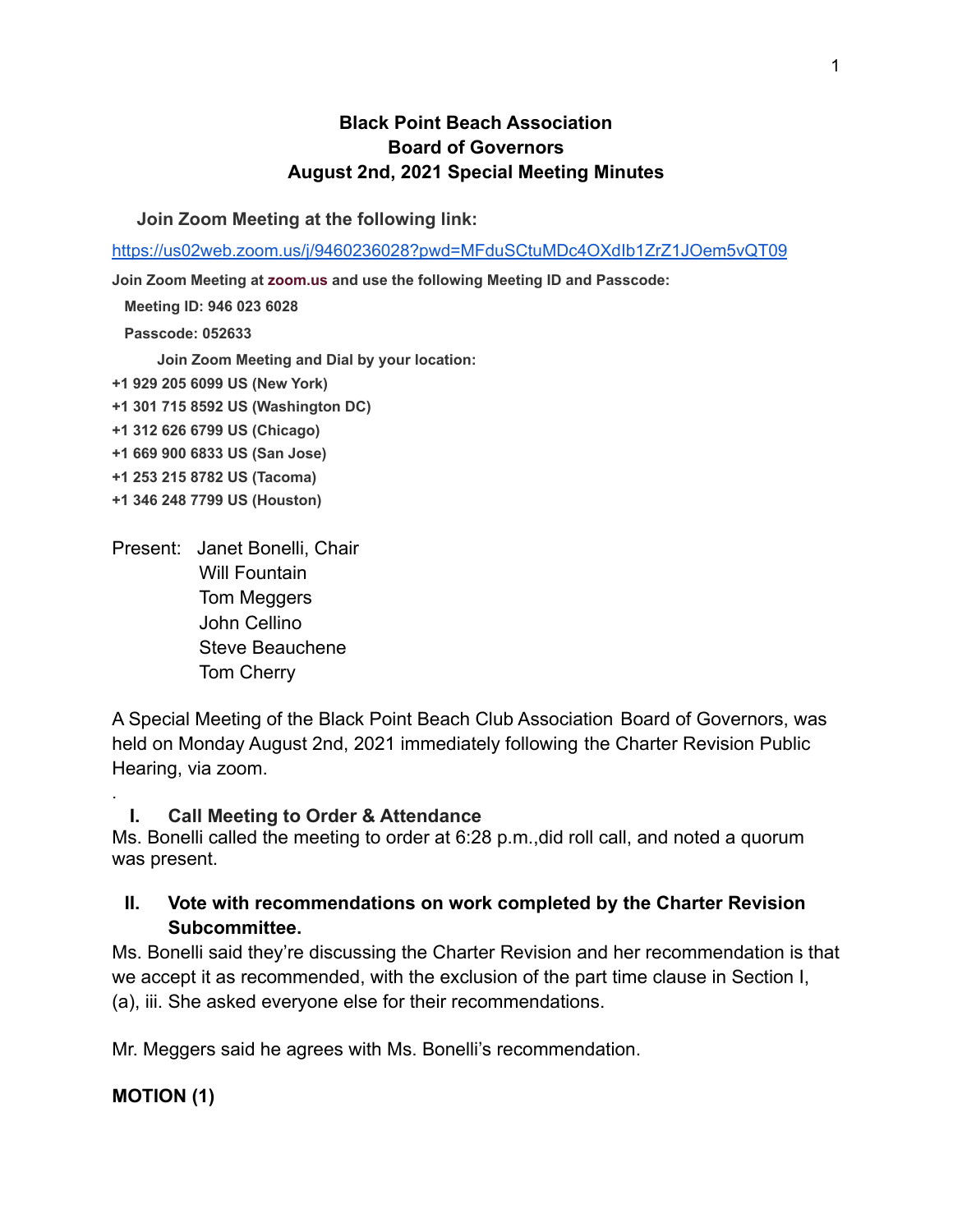### **Black Point Beach Association Board of Governors August 2nd, 2021 Special Meeting Minutes**

**Join Zoom Meeting at the following link:**

<https://us02web.zoom.us/j/9460236028?pwd=MFduSCtuMDc4OXdIb1ZrZ1JOem5vQT09>

**Join Zoom Meeting at [zoom.us](http://zoom.us/) and use the following Meeting ID and Passcode:**

**Meeting ID: 946 023 6028**

**Passcode: 052633**

**Join Zoom Meeting and Dial by your location:**

- **+1 929 205 6099 US (New York)**
- **+1 301 715 8592 US (Washington DC)**
- **+1 312 626 6799 US (Chicago)**
- **+1 669 900 6833 US (San Jose)**
- **+1 253 215 8782 US (Tacoma)**
- **+1 346 248 7799 US (Houston)**
- Present: Janet Bonelli, Chair Will Fountain Tom Meggers John Cellino Steve Beauchene Tom Cherry

A Special Meeting of the Black Point Beach Club Association Board of Governors, was held on Monday August 2nd, 2021 immediately following the Charter Revision Public Hearing, via zoom.

### **I. Call Meeting to Order & Attendance**

Ms. Bonelli called the meeting to order at 6:28 p.m.,did roll call, and noted a quorum was present.

# **II. Vote with recommendations on work completed by the Charter Revision Subcommittee.**

Ms. Bonelli said they're discussing the Charter Revision and her recommendation is that we accept it as recommended, with the exclusion of the part time clause in Section I, (a), iii. She asked everyone else for their recommendations.

Mr. Meggers said he agrees with Ms. Bonelli's recommendation.

### **MOTION (1)**

.